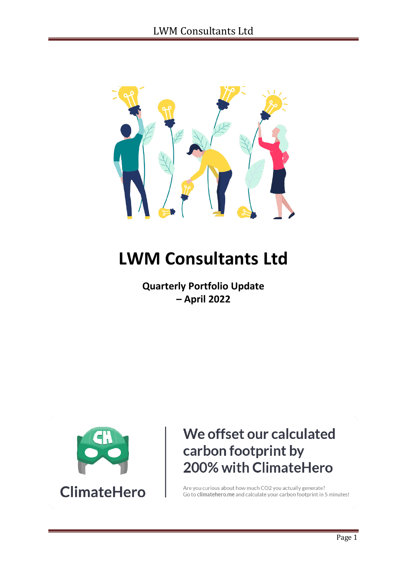

# **LWM Consultants Ltd**

**Quarterly Portfolio Update – April 2022**



## We offset our calculated carbon footprint by 200% with ClimateHero

Are you curious about how much CO2 you actually generate? Go to climatehero.me and calculate your carbon footprint in 5 minutes!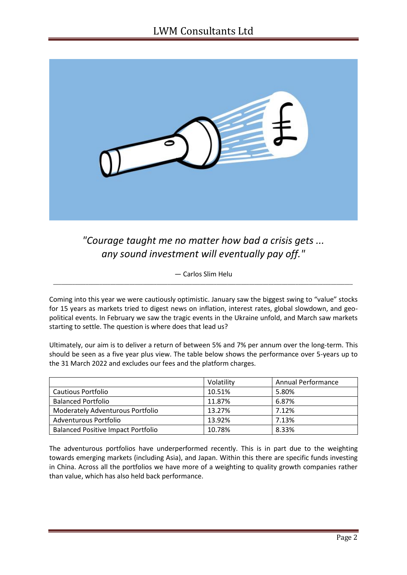

*"Courage taught me no matter how bad a crisis gets ... any sound investment will eventually pay off."*

— Carlos Slim Helu *\_\_\_\_\_\_\_\_\_\_\_\_\_\_\_\_\_\_\_\_\_\_\_\_\_\_\_\_\_\_\_\_\_\_\_\_\_\_\_\_\_\_\_\_\_\_\_\_\_\_\_\_\_\_\_\_\_\_\_\_\_\_\_\_\_\_\_\_\_\_\_\_\_\_\_\_\_\_\_\_\_\_\_\_\_\_\_\_\_\_\_\_\_\_\_\_\_\_\_\_\_\_\_\_\_\_\_\_\_\_*

Coming into this year we were cautiously optimistic. January saw the biggest swing to "value" stocks for 15 years as markets tried to digest news on inflation, interest rates, global slowdown, and geopolitical events. In February we saw the tragic events in the Ukraine unfold, and March saw markets starting to settle. The question is where does that lead us?

Ultimately, our aim is to deliver a return of between 5% and 7% per annum over the long-term. This should be seen as a five year plus view. The table below shows the performance over 5-years up to the 31 March 2022 and excludes our fees and the platform charges.

|                                           | Volatility | Annual Performance |
|-------------------------------------------|------------|--------------------|
| <b>Cautious Portfolio</b>                 | 10.51%     | 5.80%              |
| <b>Balanced Portfolio</b>                 | 11.87%     | 6.87%              |
| <b>Moderately Adventurous Portfolio</b>   | 13.27%     | 7.12%              |
| Adventurous Portfolio                     | 13.92%     | 7.13%              |
| <b>Balanced Positive Impact Portfolio</b> | 10.78%     | 8.33%              |

The adventurous portfolios have underperformed recently. This is in part due to the weighting towards emerging markets (including Asia), and Japan. Within this there are specific funds investing in China. Across all the portfolios we have more of a weighting to quality growth companies rather than value, which has also held back performance.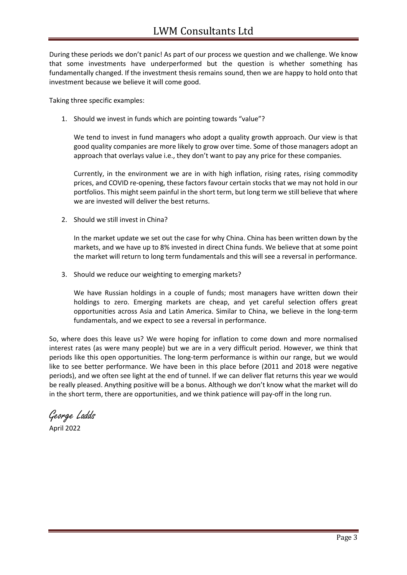During these periods we don't panic! As part of our process we question and we challenge. We know that some investments have underperformed but the question is whether something has fundamentally changed. If the investment thesis remains sound, then we are happy to hold onto that investment because we believe it will come good.

Taking three specific examples:

1. Should we invest in funds which are pointing towards "value"?

We tend to invest in fund managers who adopt a quality growth approach. Our view is that good quality companies are more likely to grow over time. Some of those managers adopt an approach that overlays value i.e., they don't want to pay any price for these companies.

Currently, in the environment we are in with high inflation, rising rates, rising commodity prices, and COVID re-opening, these factors favour certain stocks that we may not hold in our portfolios. This might seem painful in the short term, but long term we still believe that where we are invested will deliver the best returns.

2. Should we still invest in China?

In the market update we set out the case for why China. China has been written down by the markets, and we have up to 8% invested in direct China funds. We believe that at some point the market will return to long term fundamentals and this will see a reversal in performance.

3. Should we reduce our weighting to emerging markets?

We have Russian holdings in a couple of funds; most managers have written down their holdings to zero. Emerging markets are cheap, and yet careful selection offers great opportunities across Asia and Latin America. Similar to China, we believe in the long-term fundamentals, and we expect to see a reversal in performance.

So, where does this leave us? We were hoping for inflation to come down and more normalised interest rates (as were many people) but we are in a very difficult period. However, we think that periods like this open opportunities. The long-term performance is within our range, but we would like to see better performance. We have been in this place before (2011 and 2018 were negative periods), and we often see light at the end of tunnel. If we can deliver flat returns this year we would be really pleased. Anything positive will be a bonus. Although we don't know what the market will do in the short term, there are opportunities, and we think patience will pay-off in the long run.

George Ladds April 2022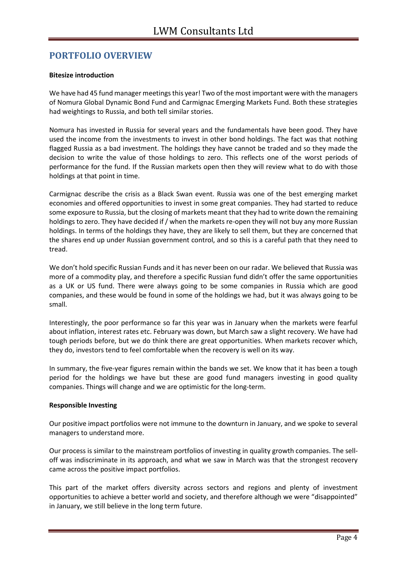### **PORTFOLIO OVERVIEW**

### **Bitesize introduction**

We have had 45 fund manager meetings this year! Two of the most important were with the managers of Nomura Global Dynamic Bond Fund and Carmignac Emerging Markets Fund. Both these strategies had weightings to Russia, and both tell similar stories.

Nomura has invested in Russia for several years and the fundamentals have been good. They have used the income from the investments to invest in other bond holdings. The fact was that nothing flagged Russia as a bad investment. The holdings they have cannot be traded and so they made the decision to write the value of those holdings to zero. This reflects one of the worst periods of performance for the fund. If the Russian markets open then they will review what to do with those holdings at that point in time.

Carmignac describe the crisis as a Black Swan event. Russia was one of the best emerging market economies and offered opportunities to invest in some great companies. They had started to reduce some exposure to Russia, but the closing of markets meant that they had to write down the remaining holdings to zero. They have decided if / when the markets re-open they will not buy any more Russian holdings. In terms of the holdings they have, they are likely to sell them, but they are concerned that the shares end up under Russian government control, and so this is a careful path that they need to tread.

We don't hold specific Russian Funds and it has never been on our radar. We believed that Russia was more of a commodity play, and therefore a specific Russian fund didn't offer the same opportunities as a UK or US fund. There were always going to be some companies in Russia which are good companies, and these would be found in some of the holdings we had, but it was always going to be small.

Interestingly, the poor performance so far this year was in January when the markets were fearful about inflation, interest rates etc. February was down, but March saw a slight recovery. We have had tough periods before, but we do think there are great opportunities. When markets recover which, they do, investors tend to feel comfortable when the recovery is well on its way.

In summary, the five-year figures remain within the bands we set. We know that it has been a tough period for the holdings we have but these are good fund managers investing in good quality companies. Things will change and we are optimistic for the long-term.

### **Responsible Investing**

Our positive impact portfolios were not immune to the downturn in January, and we spoke to several managers to understand more.

Our process is similar to the mainstream portfolios of investing in quality growth companies. The selloff was indiscriminate in its approach, and what we saw in March was that the strongest recovery came across the positive impact portfolios.

This part of the market offers diversity across sectors and regions and plenty of investment opportunities to achieve a better world and society, and therefore although we were "disappointed" in January, we still believe in the long term future.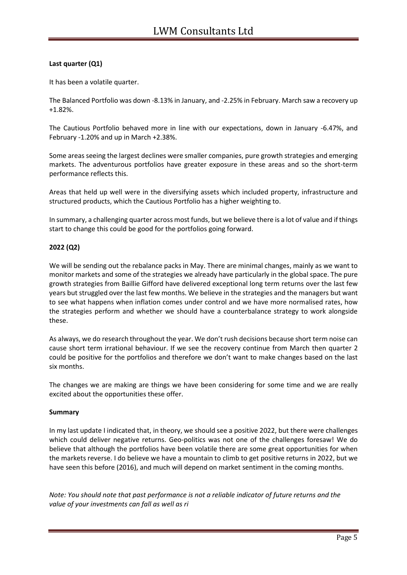### **Last quarter (Q1)**

It has been a volatile quarter.

The Balanced Portfolio was down -8.13% in January, and -2.25% in February. March saw a recovery up +1.82%.

The Cautious Portfolio behaved more in line with our expectations, down in January -6.47%, and February -1.20% and up in March +2.38%.

Some areas seeing the largest declines were smaller companies, pure growth strategies and emerging markets. The adventurous portfolios have greater exposure in these areas and so the short-term performance reflects this.

Areas that held up well were in the diversifying assets which included property, infrastructure and structured products, which the Cautious Portfolio has a higher weighting to.

In summary, a challenging quarter across most funds, but we believe there is a lot of value and if things start to change this could be good for the portfolios going forward.

### **2022 (Q2)**

We will be sending out the rebalance packs in May. There are minimal changes, mainly as we want to monitor markets and some of the strategies we already have particularly in the global space. The pure growth strategies from Baillie Gifford have delivered exceptional long term returns over the last few years but struggled over the last few months. We believe in the strategies and the managers but want to see what happens when inflation comes under control and we have more normalised rates, how the strategies perform and whether we should have a counterbalance strategy to work alongside these.

As always, we do research throughout the year. We don't rush decisions because short term noise can cause short term irrational behaviour. If we see the recovery continue from March then quarter 2 could be positive for the portfolios and therefore we don't want to make changes based on the last six months.

The changes we are making are things we have been considering for some time and we are really excited about the opportunities these offer.

### **Summary**

In my last update I indicated that, in theory, we should see a positive 2022, but there were challenges which could deliver negative returns. Geo-politics was not one of the challenges foresaw! We do believe that although the portfolios have been volatile there are some great opportunities for when the markets reverse. I do believe we have a mountain to climb to get positive returns in 2022, but we have seen this before (2016), and much will depend on market sentiment in the coming months.

*Note: You should note that past performance is not a reliable indicator of future returns and the value of your investments can fall as well as ri*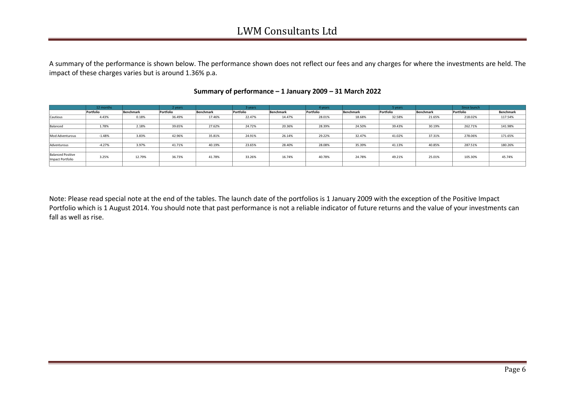### LWM Consultants Ltd

A summary of the performance is shown below. The performance shown does not reflect our fees and any charges for where the investments are held. The impact of these charges varies but is around 1.36% p.a.

|                                              | 12 months |           | 2 years   |           | 3 years   |                  | 4 years   |           | 5 years   |           | Since launch |                  |
|----------------------------------------------|-----------|-----------|-----------|-----------|-----------|------------------|-----------|-----------|-----------|-----------|--------------|------------------|
|                                              | Portfolio | Benchmark | Portfolio | Benchmark | Portfolio | <b>Benchmark</b> | Portfolio | Benchmark | Portfolio | Benchmark | Portfolio    | <b>Benchmark</b> |
| Cautious                                     | 4.43%     | 0.18%     | 36.49%    | 17.46%    | 22.47%    | 14.47%           | 28.01%    | 18.68%    | 32.58%    | 21.65%    | 218.02%      | 117.54%          |
|                                              |           |           |           |           |           |                  |           |           |           |           |              |                  |
| Balanced                                     | 1.78%     | 2.18%     | 39.65%    | 27.62%    | 24.72%    | 20.36%           | 28.39%    | 24.50%    | 39.43%    | 30.19%    | 262.71%      | 141.98%          |
|                                              |           |           |           |           |           |                  |           |           |           |           |              |                  |
| Mod Adventurous                              | $-1.48%$  | 3.83%     | 42.96%    | 35.81%    | 24.91%    | 26.14%           | 29.22%    | 32.47%    | 41.02%    | 37.31%    | 278.06%      | 171.65%          |
|                                              |           |           |           |           |           |                  |           |           |           |           |              |                  |
| Adventurous                                  | $-4.27%$  | 3.97%     | 41.71%    | 40.19%    | 23.65%    | 28.40%           | 28.08%    | 35.39%    | 41.13%    | 40.85%    | 287.51%      | 180.26%          |
|                                              |           |           |           |           |           |                  |           |           |           |           |              |                  |
| <b>Balanced Positive</b><br>Impact Portfolio | 3.25%     | 12.79%    | 36.73%    | 41.78%    | 33.26%    | 16.74%           | 40.78%    | 24.78%    | 49.21%    | 25.01%    | 105.30%      | 45.74%           |
|                                              |           |           |           |           |           |                  |           |           |           |           |              |                  |

#### **Summary of performance – 1 January 2009 – 31 March 2022**

Note: Please read special note at the end of the tables. The launch date of the portfolios is 1 January 2009 with the exception of the Positive Impact Portfolio which is 1 August 2014. You should note that past performance is not a reliable indicator of future returns and the value of your investments can fall as well as rise.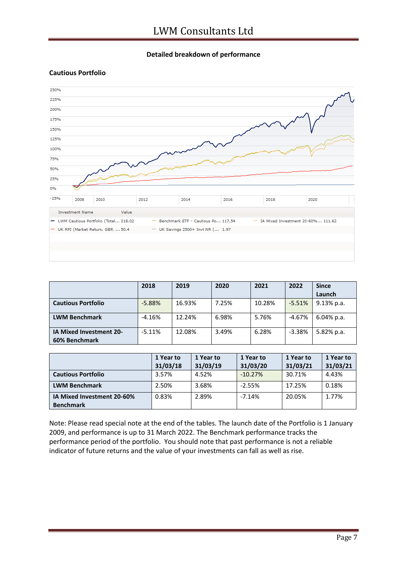### **Detailed breakdown of performance**

### **Cautious Portfolio**



|                                          | 2018     | 2019   | 2020  | 2021   | 2022     | <b>Since</b>  |
|------------------------------------------|----------|--------|-------|--------|----------|---------------|
|                                          |          |        |       |        |          | Launch        |
| <b>Cautious Portfolio</b>                | $-5.88%$ | 16.93% | 7.25% | 10.28% | $-5.51%$ | $9.13%$ p.a.  |
| <b>LWM Benchmark</b>                     | $-4.16%$ | 12.24% | 6.98% | 5.76%  | $-4.67%$ | $6.04\%$ p.a. |
| IA Mixed Investment 20-<br>60% Benchmark | $-5.11%$ | 12.08% | 3.49% | 6.28%  | $-3.38%$ | 5.82% p.a.    |

|                                                | 1 Year to<br>31/03/18 | 1 Year to<br>31/03/19 | 1 Year to<br>31/03/20 | 1 Year to<br>31/03/21 | 1 Year to<br>31/03/21 |
|------------------------------------------------|-----------------------|-----------------------|-----------------------|-----------------------|-----------------------|
| <b>Cautious Portfolio</b>                      | 3.57%                 | 4.52%                 | $-10.27%$             | 30.71%                | 4.43%                 |
| <b>LWM Benchmark</b>                           | 2.50%                 | 3.68%                 | $-2.55%$              | 17.25%                | 0.18%                 |
| IA Mixed Investment 20-60%<br><b>Benchmark</b> | 0.83%                 | 2.89%                 | $-7.14%$              | 20.05%                | 1.77%                 |

Note: Please read special note at the end of the tables. The launch date of the Portfolio is 1 January 2009, and performance is up to 31 March 2022. The Benchmark performance tracks the performance period of the portfolio. You should note that past performance is not a reliable indicator of future returns and the value of your investments can fall as well as rise.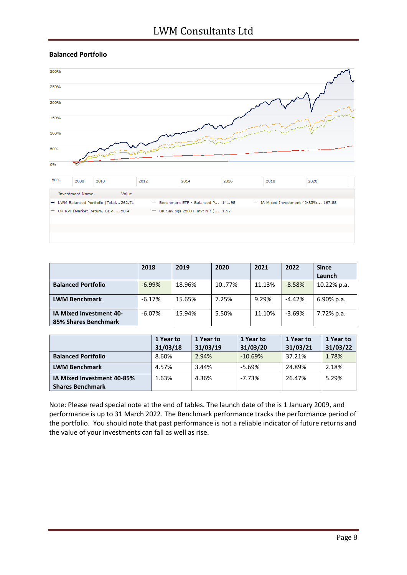

### **Balanced Portfolio**

|                                                        | 2018     | 2019   | 2020  | 2021   | 2022     | <b>Since</b>  |
|--------------------------------------------------------|----------|--------|-------|--------|----------|---------------|
|                                                        |          |        |       |        |          | Launch        |
| <b>Balanced Portfolio</b>                              | $-6.99%$ | 18.96% | 1077% | 11.13% | $-8.58%$ | 10.22% p.a.   |
| <b>LWM Benchmark</b>                                   | $-6.17%$ | 15.65% | 7.25% | 9.29%  | $-4.42%$ | $6.90\%$ p.a. |
| <b>IA Mixed Investment 40-</b><br>85% Shares Benchmark | $-6.07%$ | 15.94% | 5.50% | 11.10% | $-3.69%$ | 7.72% p.a.    |

|                            | 1 Year to | 1 Year to | 1 Year to | 1 Year to | 1 Year to |
|----------------------------|-----------|-----------|-----------|-----------|-----------|
|                            | 31/03/18  | 31/03/19  | 31/03/20  | 31/03/21  | 31/03/22  |
| <b>Balanced Portfolio</b>  | 8.60%     | 2.94%     | $-10.69%$ | 37.21%    | 1.78%     |
| <b>LWM Benchmark</b>       | 4.57%     | 3.44%     | $-5.69%$  | 24.89%    | 2.18%     |
| IA Mixed Investment 40-85% | 1.63%     | 4.36%     | $-7.73%$  | 26.47%    | 5.29%     |
| <b>Shares Benchmark</b>    |           |           |           |           |           |

Note: Please read special note at the end of tables. The launch date of the is 1 January 2009, and performance is up to 31 March 2022. The Benchmark performance tracks the performance period of the portfolio. You should note that past performance is not a reliable indicator of future returns and the value of your investments can fall as well as rise.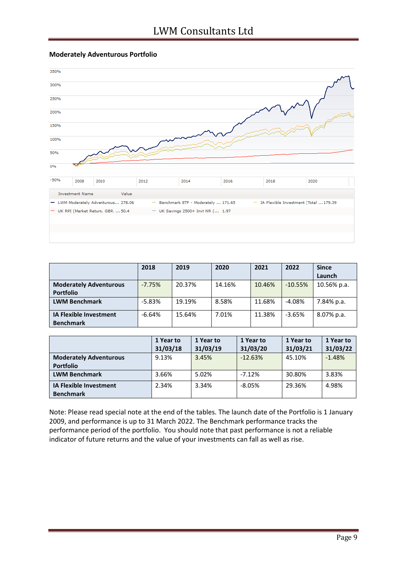



|                               | 2018     | 2019   | 2020   | 2021   | 2022      | <b>Since</b> |
|-------------------------------|----------|--------|--------|--------|-----------|--------------|
|                               |          |        |        |        |           | Launch       |
| <b>Moderately Adventurous</b> | $-7.75%$ | 20.37% | 14.16% | 10.46% | $-10.55%$ | 10.56% p.a.  |
| <b>Portfolio</b>              |          |        |        |        |           |              |
| <b>LWM Benchmark</b>          | $-5.83%$ | 19.19% | 8.58%  | 11.68% | $-4.08%$  | 7.84% p.a.   |
| <b>IA Flexible Investment</b> | $-6.64%$ | 15.64% | 7.01%  | 11.38% | $-3.65%$  | 8.07% p.a.   |
| <b>Benchmark</b>              |          |        |        |        |           |              |

|                               | 1 Year to<br>31/03/18 | 1 Year to<br>31/03/19 | 1 Year to<br>31/03/20 | 1 Year to<br>31/03/21 | 1 Year to<br>31/03/22 |
|-------------------------------|-----------------------|-----------------------|-----------------------|-----------------------|-----------------------|
| <b>Moderately Adventurous</b> | 9.13%                 | 3.45%                 | $-12.63%$             | 45.10%                | $-1.48%$              |
| <b>Portfolio</b>              |                       |                       |                       |                       |                       |
| <b>LWM Benchmark</b>          | 3.66%                 | 5.02%                 | $-7.12%$              | 30.80%                | 3.83%                 |
| <b>IA Flexible Investment</b> | 2.34%                 | 3.34%                 | $-8.05%$              | 29.36%                | 4.98%                 |
| <b>Benchmark</b>              |                       |                       |                       |                       |                       |

Note: Please read special note at the end of the tables. The launch date of the Portfolio is 1 January 2009, and performance is up to 31 March 2022. The Benchmark performance tracks the performance period of the portfolio. You should note that past performance is not a reliable indicator of future returns and the value of your investments can fall as well as rise.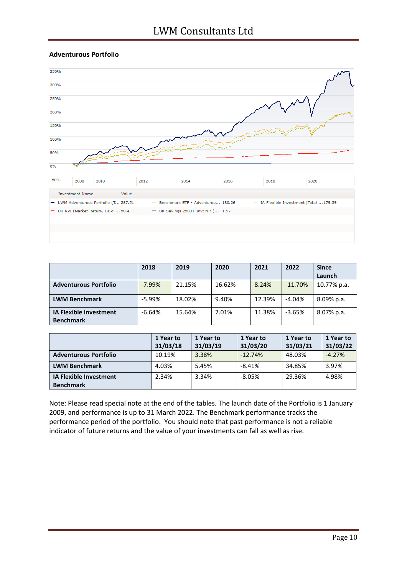### **Adventurous Portfolio**



|                               | 2018      | 2019   | 2020   | 2021   | 2022      | <b>Since</b> |
|-------------------------------|-----------|--------|--------|--------|-----------|--------------|
|                               |           |        |        |        |           | Launch       |
| <b>Adventurous Portfolio</b>  | $-7.99%$  | 21.15% | 16.62% | 8.24%  | $-11.70%$ | 10.77% p.a.  |
|                               |           |        |        |        |           |              |
| <b>LWM Benchmark</b>          | $-5.99\%$ | 18.02% | 9.40%  | 12.39% | $-4.04%$  | 8.09% p.a.   |
| <b>IA Flexible Investment</b> | $-6.64%$  | 15.64% | 7.01%  | 11.38% | $-3.65%$  | 8.07% p.a.   |
| <b>Benchmark</b>              |           |        |        |        |           |              |

|                                                   | 1 Year to<br>31/03/18 | 1 Year to<br>31/03/19 | 1 Year to<br>31/03/20 | 1 Year to<br>31/03/21 | 1 Year to<br>31/03/22 |
|---------------------------------------------------|-----------------------|-----------------------|-----------------------|-----------------------|-----------------------|
| <b>Adventurous Portfolio</b>                      | 10.19%                | 3.38%                 | $-12.74%$             | 48.03%                | $-4.27%$              |
| <b>LWM Benchmark</b>                              | 4.03%                 | 5.45%                 | $-8.41%$              | 34.85%                | 3.97%                 |
| <b>IA Flexible Investment</b><br><b>Benchmark</b> | 2.34%                 | 3.34%                 | $-8.05\%$             | 29.36%                | 4.98%                 |

Note: Please read special note at the end of the tables. The launch date of the Portfolio is 1 January 2009, and performance is up to 31 March 2022. The Benchmark performance tracks the performance period of the portfolio. You should note that past performance is not a reliable indicator of future returns and the value of your investments can fall as well as rise.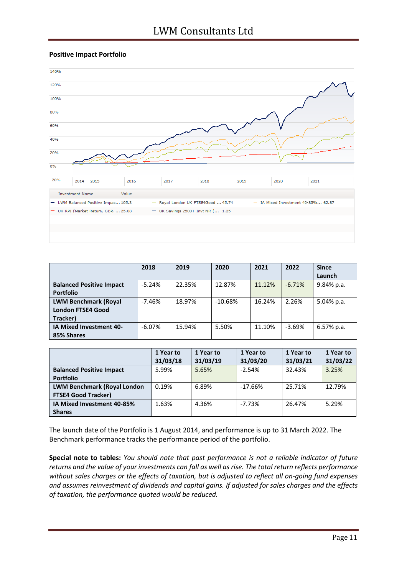### **Positive Impact Portfolio**



|                                 | 2018     | 2019   | 2020      | 2021   | 2022     | <b>Since</b>  |
|---------------------------------|----------|--------|-----------|--------|----------|---------------|
|                                 |          |        |           |        |          | Launch        |
| <b>Balanced Positive Impact</b> | $-5.24%$ | 22.35% | 12.87%    | 11.12% | $-6.71%$ | $9.84\%$ p.a. |
| <b>Portfolio</b>                |          |        |           |        |          |               |
| <b>LWM Benchmark (Royal</b>     | $-7.46%$ | 18.97% | $-10.68%$ | 16.24% | 2.26%    | $5.04\%$ p.a. |
| <b>London FTSE4 Good</b>        |          |        |           |        |          |               |
| Tracker)                        |          |        |           |        |          |               |
| <b>IA Mixed Investment 40-</b>  | $-6.07%$ | 15.94% | 5.50%     | 11.10% | $-3.69%$ | $6.57\%$ p.a. |
| 85% Shares                      |          |        |           |        |          |               |

|                                    | 1 Year to<br>31/03/18 | 1 Year to<br>31/03/19 | 1 Year to<br>31/03/20 | 1 Year to<br>31/03/21 | 1 Year to<br>31/03/22 |
|------------------------------------|-----------------------|-----------------------|-----------------------|-----------------------|-----------------------|
| <b>Balanced Positive Impact</b>    | 5.99%                 | 5.65%                 | $-2.54%$              | 32.43%                | 3.25%                 |
| <b>Portfolio</b>                   |                       |                       |                       |                       |                       |
| <b>LWM Benchmark (Royal London</b> | 0.19%                 | 6.89%                 | $-17.66%$             | 25.71%                | 12.79%                |
| <b>FTSE4 Good Tracker)</b>         |                       |                       |                       |                       |                       |
| IA Mixed Investment 40-85%         | 1.63%                 | 4.36%                 | $-7.73%$              | 26.47%                | 5.29%                 |
| <b>Shares</b>                      |                       |                       |                       |                       |                       |

The launch date of the Portfolio is 1 August 2014, and performance is up to 31 March 2022. The Benchmark performance tracks the performance period of the portfolio.

**Special note to tables:** *You should note that past performance is not a reliable indicator of future returns and the value of your investments can fall as well as rise. The total return reflects performance without sales charges or the effects of taxation, but is adjusted to reflect all on-going fund expenses and assumes reinvestment of dividends and capital gains. If adjusted for sales charges and the effects of taxation, the performance quoted would be reduced.*